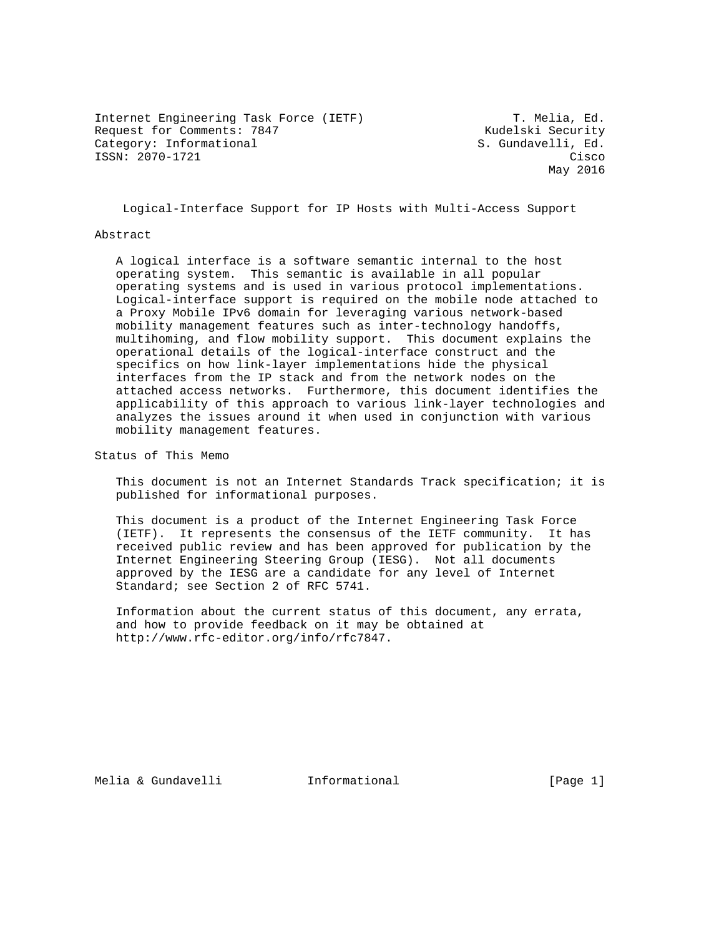Internet Engineering Task Force (IETF) T. Melia, Ed.<br>Request for Comments: 7847 T. Kudelski Security Request for Comments: 7847 Category: Informational S. Gundavelli, Ed. ISSN: 2070-1721 Cisco

May 2016

Logical-Interface Support for IP Hosts with Multi-Access Support

#### Abstract

 A logical interface is a software semantic internal to the host operating system. This semantic is available in all popular operating systems and is used in various protocol implementations. Logical-interface support is required on the mobile node attached to a Proxy Mobile IPv6 domain for leveraging various network-based mobility management features such as inter-technology handoffs, multihoming, and flow mobility support. This document explains the operational details of the logical-interface construct and the specifics on how link-layer implementations hide the physical interfaces from the IP stack and from the network nodes on the attached access networks. Furthermore, this document identifies the applicability of this approach to various link-layer technologies and analyzes the issues around it when used in conjunction with various mobility management features.

Status of This Memo

 This document is not an Internet Standards Track specification; it is published for informational purposes.

 This document is a product of the Internet Engineering Task Force (IETF). It represents the consensus of the IETF community. It has received public review and has been approved for publication by the Internet Engineering Steering Group (IESG). Not all documents approved by the IESG are a candidate for any level of Internet Standard; see Section 2 of RFC 5741.

 Information about the current status of this document, any errata, and how to provide feedback on it may be obtained at http://www.rfc-editor.org/info/rfc7847.

Melia & Gundavelli Informational [Page 1]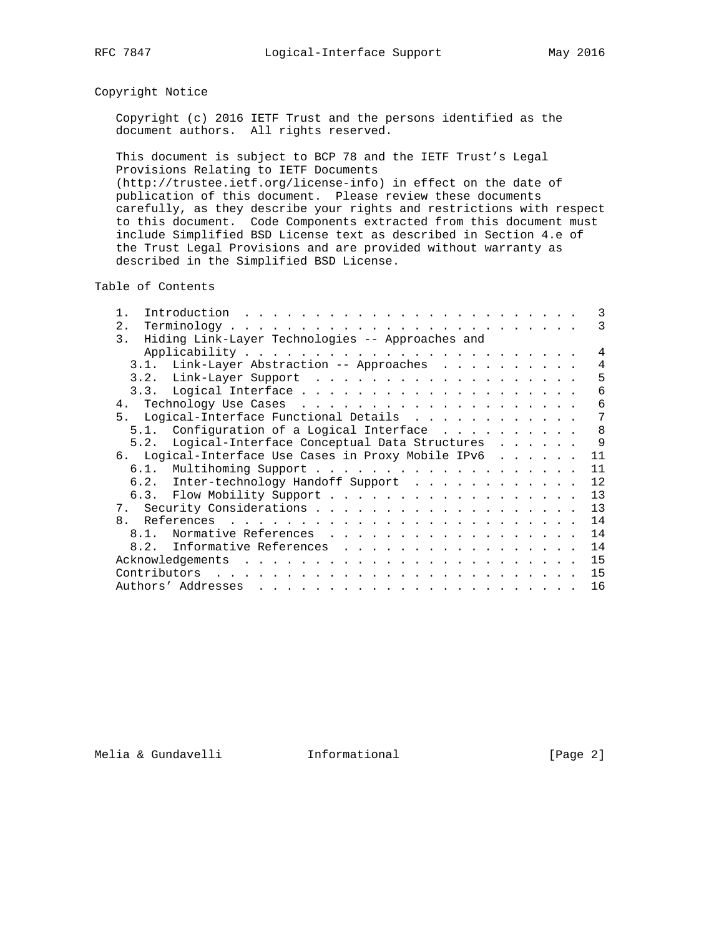## Copyright Notice

 Copyright (c) 2016 IETF Trust and the persons identified as the document authors. All rights reserved.

 This document is subject to BCP 78 and the IETF Trust's Legal Provisions Relating to IETF Documents (http://trustee.ietf.org/license-info) in effect on the date of publication of this document. Please review these documents carefully, as they describe your rights and restrictions with respect to this document. Code Components extracted from this document must include Simplified BSD License text as described in Section 4.e of the Trust Legal Provisions and are provided without warranty as described in the Simplified BSD License.

Table of Contents

| Introduction                                                                                                                                                                                                                                       |  |  |  | 3  |
|----------------------------------------------------------------------------------------------------------------------------------------------------------------------------------------------------------------------------------------------------|--|--|--|----|
| 2.                                                                                                                                                                                                                                                 |  |  |  | 3  |
| Hiding Link-Layer Technologies -- Approaches and<br>3.                                                                                                                                                                                             |  |  |  |    |
|                                                                                                                                                                                                                                                    |  |  |  | 4  |
| 3.1. Link-Layer Abstraction -- Approaches                                                                                                                                                                                                          |  |  |  | 4  |
|                                                                                                                                                                                                                                                    |  |  |  | 5  |
|                                                                                                                                                                                                                                                    |  |  |  | 6  |
|                                                                                                                                                                                                                                                    |  |  |  | 6  |
| 5. Logical-Interface Functional Details                                                                                                                                                                                                            |  |  |  | 7  |
| Configuration of a Logical Interface<br>5 1                                                                                                                                                                                                        |  |  |  | 8  |
| 5.2. Logical-Interface Conceptual Data Structures                                                                                                                                                                                                  |  |  |  | 9  |
| 6. Logical-Interface Use Cases in Proxy Mobile IPv6                                                                                                                                                                                                |  |  |  | 11 |
|                                                                                                                                                                                                                                                    |  |  |  | 11 |
| 6.2. Inter-technology Handoff Support                                                                                                                                                                                                              |  |  |  | 12 |
|                                                                                                                                                                                                                                                    |  |  |  | 13 |
|                                                                                                                                                                                                                                                    |  |  |  | 13 |
| $\mathsf{R}$                                                                                                                                                                                                                                       |  |  |  | 14 |
| Normative References<br>$8.1$ .                                                                                                                                                                                                                    |  |  |  | 14 |
| 8.2. Informative References                                                                                                                                                                                                                        |  |  |  | 14 |
| Acknowledgements<br>and the contract of the contract of the contract of the contract of the contract of the contract of the contract of the contract of the contract of the contract of the contract of the contract of the contract of the contra |  |  |  | 15 |
| Contributors<br>. The contract of the contract of the contract of the contract of the contract of the contract of the contract of the contract of the contract of the contract of the contract of the contract of the contract of the contrac      |  |  |  | 15 |
|                                                                                                                                                                                                                                                    |  |  |  | 16 |

Melia & Gundavelli Informational [Page 2]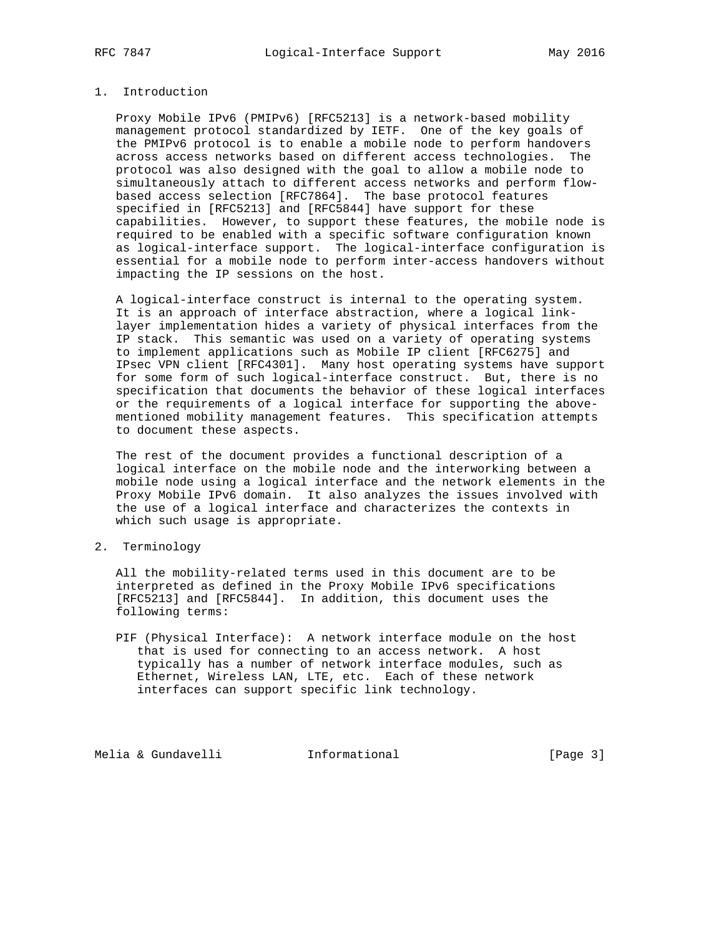## 1. Introduction

 Proxy Mobile IPv6 (PMIPv6) [RFC5213] is a network-based mobility management protocol standardized by IETF. One of the key goals of the PMIPv6 protocol is to enable a mobile node to perform handovers across access networks based on different access technologies. The protocol was also designed with the goal to allow a mobile node to simultaneously attach to different access networks and perform flow based access selection [RFC7864]. The base protocol features specified in [RFC5213] and [RFC5844] have support for these capabilities. However, to support these features, the mobile node is required to be enabled with a specific software configuration known as logical-interface support. The logical-interface configuration is essential for a mobile node to perform inter-access handovers without impacting the IP sessions on the host.

 A logical-interface construct is internal to the operating system. It is an approach of interface abstraction, where a logical link layer implementation hides a variety of physical interfaces from the IP stack. This semantic was used on a variety of operating systems to implement applications such as Mobile IP client [RFC6275] and IPsec VPN client [RFC4301]. Many host operating systems have support for some form of such logical-interface construct. But, there is no specification that documents the behavior of these logical interfaces or the requirements of a logical interface for supporting the above mentioned mobility management features. This specification attempts to document these aspects.

 The rest of the document provides a functional description of a logical interface on the mobile node and the interworking between a mobile node using a logical interface and the network elements in the Proxy Mobile IPv6 domain. It also analyzes the issues involved with the use of a logical interface and characterizes the contexts in which such usage is appropriate.

2. Terminology

 All the mobility-related terms used in this document are to be interpreted as defined in the Proxy Mobile IPv6 specifications [RFC5213] and [RFC5844]. In addition, this document uses the following terms:

 PIF (Physical Interface): A network interface module on the host that is used for connecting to an access network. A host typically has a number of network interface modules, such as Ethernet, Wireless LAN, LTE, etc. Each of these network interfaces can support specific link technology.

Melia & Gundavelli **Informational** [Page 3]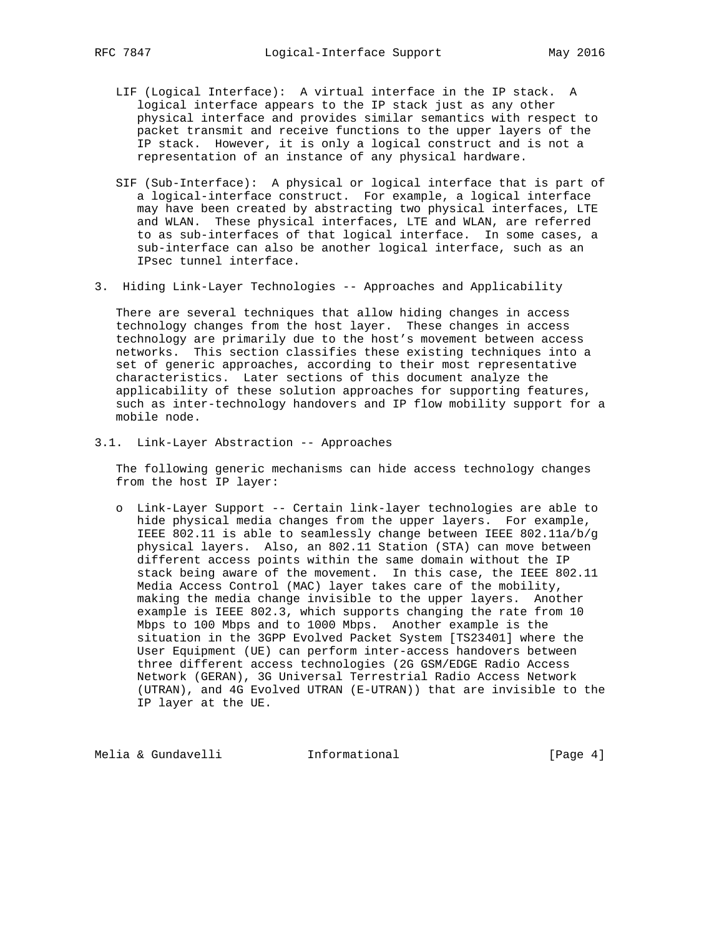- LIF (Logical Interface): A virtual interface in the IP stack. A logical interface appears to the IP stack just as any other physical interface and provides similar semantics with respect to packet transmit and receive functions to the upper layers of the IP stack. However, it is only a logical construct and is not a representation of an instance of any physical hardware.
- SIF (Sub-Interface): A physical or logical interface that is part of a logical-interface construct. For example, a logical interface may have been created by abstracting two physical interfaces, LTE and WLAN. These physical interfaces, LTE and WLAN, are referred to as sub-interfaces of that logical interface. In some cases, a sub-interface can also be another logical interface, such as an IPsec tunnel interface.
- 3. Hiding Link-Layer Technologies -- Approaches and Applicability

 There are several techniques that allow hiding changes in access technology changes from the host layer. These changes in access technology are primarily due to the host's movement between access networks. This section classifies these existing techniques into a set of generic approaches, according to their most representative characteristics. Later sections of this document analyze the applicability of these solution approaches for supporting features, such as inter-technology handovers and IP flow mobility support for a mobile node.

3.1. Link-Layer Abstraction -- Approaches

 The following generic mechanisms can hide access technology changes from the host IP layer:

 o Link-Layer Support -- Certain link-layer technologies are able to hide physical media changes from the upper layers. For example, IEEE 802.11 is able to seamlessly change between IEEE 802.11a/b/g physical layers. Also, an 802.11 Station (STA) can move between different access points within the same domain without the IP stack being aware of the movement. In this case, the IEEE 802.11 Media Access Control (MAC) layer takes care of the mobility, making the media change invisible to the upper layers. Another example is IEEE 802.3, which supports changing the rate from 10 Mbps to 100 Mbps and to 1000 Mbps. Another example is the situation in the 3GPP Evolved Packet System [TS23401] where the User Equipment (UE) can perform inter-access handovers between three different access technologies (2G GSM/EDGE Radio Access Network (GERAN), 3G Universal Terrestrial Radio Access Network (UTRAN), and 4G Evolved UTRAN (E-UTRAN)) that are invisible to the IP layer at the UE.

Melia & Gundavelli **Informational** [Page 4]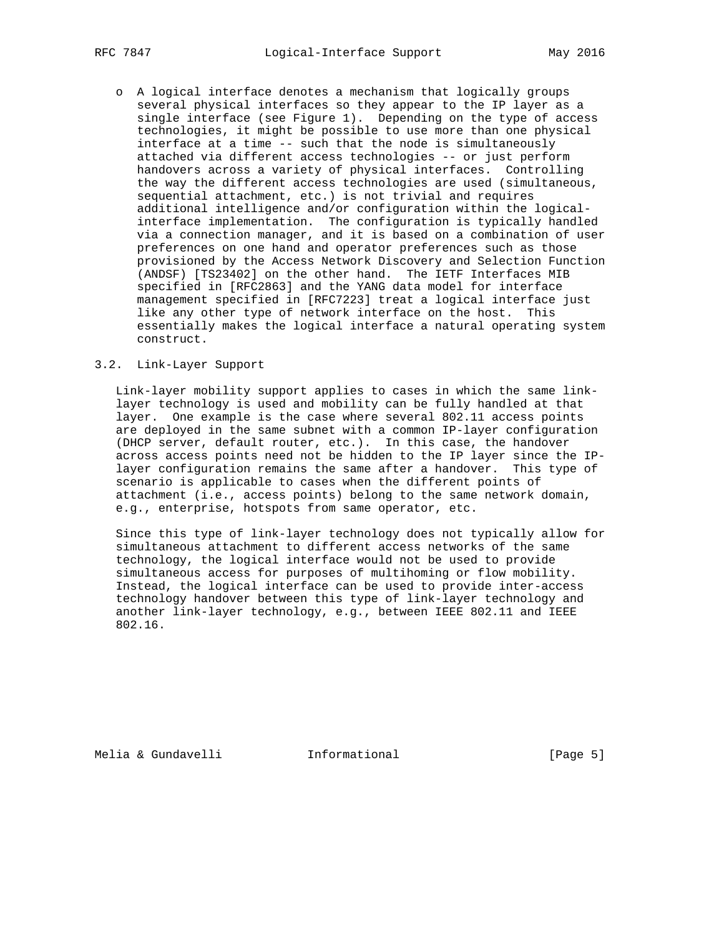o A logical interface denotes a mechanism that logically groups several physical interfaces so they appear to the IP layer as a single interface (see Figure 1). Depending on the type of access technologies, it might be possible to use more than one physical interface at a time -- such that the node is simultaneously attached via different access technologies -- or just perform handovers across a variety of physical interfaces. Controlling the way the different access technologies are used (simultaneous, sequential attachment, etc.) is not trivial and requires additional intelligence and/or configuration within the logical interface implementation. The configuration is typically handled via a connection manager, and it is based on a combination of user preferences on one hand and operator preferences such as those provisioned by the Access Network Discovery and Selection Function (ANDSF) [TS23402] on the other hand. The IETF Interfaces MIB specified in [RFC2863] and the YANG data model for interface management specified in [RFC7223] treat a logical interface just like any other type of network interface on the host. This essentially makes the logical interface a natural operating system construct.

#### 3.2. Link-Layer Support

 Link-layer mobility support applies to cases in which the same link layer technology is used and mobility can be fully handled at that layer. One example is the case where several 802.11 access points are deployed in the same subnet with a common IP-layer configuration (DHCP server, default router, etc.). In this case, the handover across access points need not be hidden to the IP layer since the IP layer configuration remains the same after a handover. This type of scenario is applicable to cases when the different points of attachment (i.e., access points) belong to the same network domain, e.g., enterprise, hotspots from same operator, etc.

 Since this type of link-layer technology does not typically allow for simultaneous attachment to different access networks of the same technology, the logical interface would not be used to provide simultaneous access for purposes of multihoming or flow mobility. Instead, the logical interface can be used to provide inter-access technology handover between this type of link-layer technology and another link-layer technology, e.g., between IEEE 802.11 and IEEE 802.16.

Melia & Gundavelli Informational [Page 5]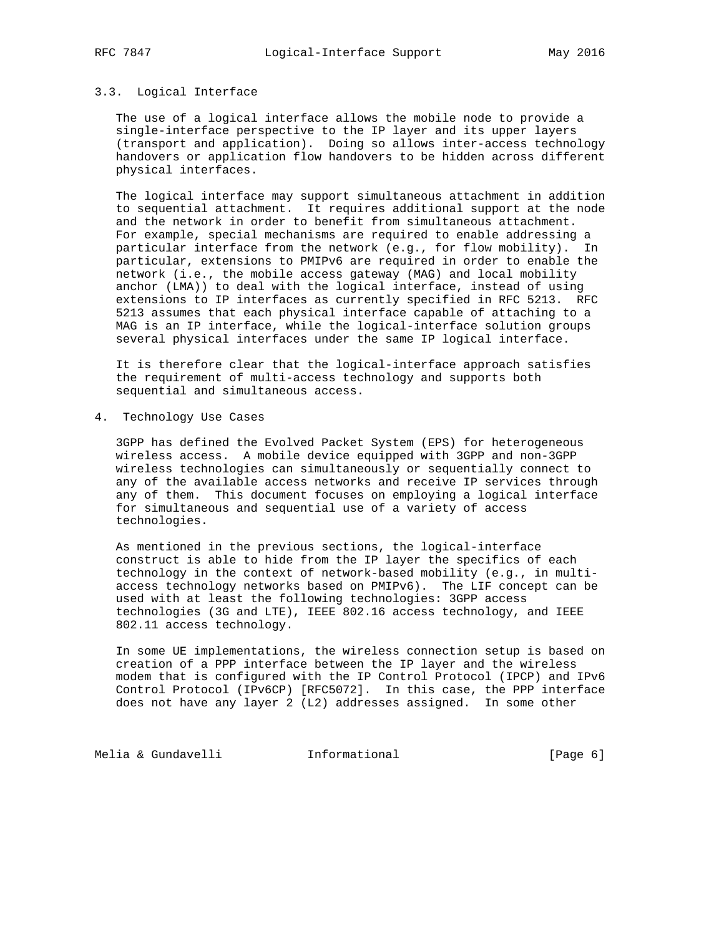## 3.3. Logical Interface

 The use of a logical interface allows the mobile node to provide a single-interface perspective to the IP layer and its upper layers (transport and application). Doing so allows inter-access technology handovers or application flow handovers to be hidden across different physical interfaces.

 The logical interface may support simultaneous attachment in addition to sequential attachment. It requires additional support at the node and the network in order to benefit from simultaneous attachment. For example, special mechanisms are required to enable addressing a particular interface from the network (e.g., for flow mobility). In particular, extensions to PMIPv6 are required in order to enable the network (i.e., the mobile access gateway (MAG) and local mobility anchor (LMA)) to deal with the logical interface, instead of using extensions to IP interfaces as currently specified in RFC 5213. RFC 5213 assumes that each physical interface capable of attaching to a MAG is an IP interface, while the logical-interface solution groups several physical interfaces under the same IP logical interface.

 It is therefore clear that the logical-interface approach satisfies the requirement of multi-access technology and supports both sequential and simultaneous access.

4. Technology Use Cases

 3GPP has defined the Evolved Packet System (EPS) for heterogeneous wireless access. A mobile device equipped with 3GPP and non-3GPP wireless technologies can simultaneously or sequentially connect to any of the available access networks and receive IP services through any of them. This document focuses on employing a logical interface for simultaneous and sequential use of a variety of access technologies.

 As mentioned in the previous sections, the logical-interface construct is able to hide from the IP layer the specifics of each technology in the context of network-based mobility (e.g., in multi access technology networks based on PMIPv6). The LIF concept can be used with at least the following technologies: 3GPP access technologies (3G and LTE), IEEE 802.16 access technology, and IEEE 802.11 access technology.

 In some UE implementations, the wireless connection setup is based on creation of a PPP interface between the IP layer and the wireless modem that is configured with the IP Control Protocol (IPCP) and IPv6 Control Protocol (IPv6CP) [RFC5072]. In this case, the PPP interface does not have any layer 2 (L2) addresses assigned. In some other

Melia & Gundavelli **Informational** [Page 6]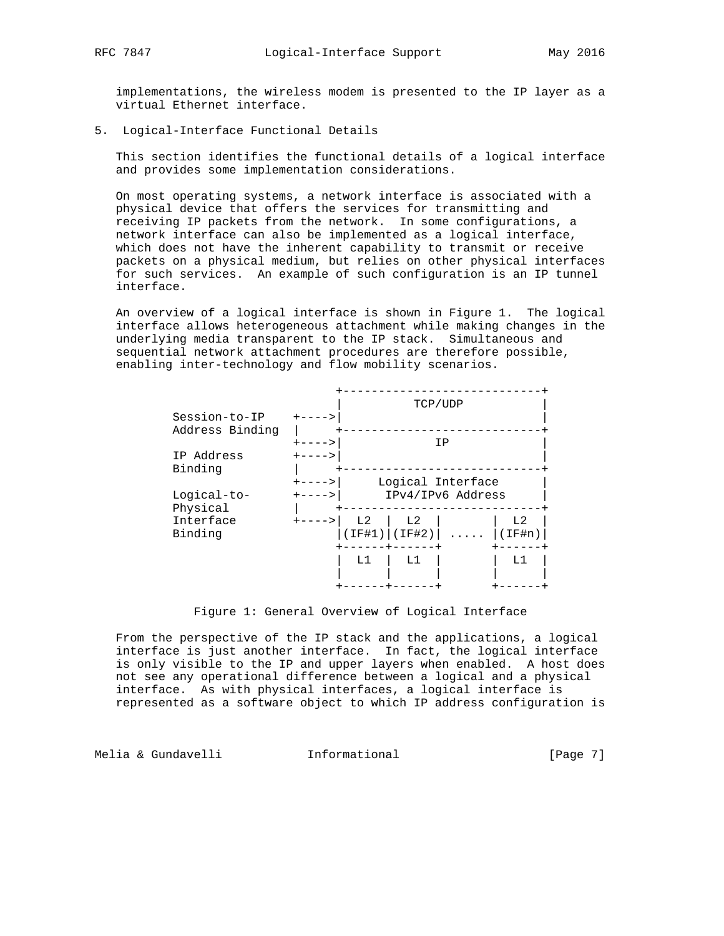implementations, the wireless modem is presented to the IP layer as a virtual Ethernet interface.

5. Logical-Interface Functional Details

 This section identifies the functional details of a logical interface and provides some implementation considerations.

 On most operating systems, a network interface is associated with a physical device that offers the services for transmitting and receiving IP packets from the network. In some configurations, a network interface can also be implemented as a logical interface, which does not have the inherent capability to transmit or receive packets on a physical medium, but relies on other physical interfaces for such services. An example of such configuration is an IP tunnel interface.

 An overview of a logical interface is shown in Figure 1. The logical interface allows heterogeneous attachment while making changes in the underlying media transparent to the IP stack. Simultaneous and sequential network attachment procedures are therefore possible, enabling inter-technology and flow mobility scenarios.

| Session-to-IP   |               |                | TCP/UDP        |                   |                |
|-----------------|---------------|----------------|----------------|-------------------|----------------|
|                 |               |                |                |                   |                |
| Address Binding |               |                |                |                   |                |
|                 |               |                |                | ΙP                |                |
| IP Address      |               |                |                |                   |                |
| Binding         |               |                |                |                   |                |
|                 |               |                |                |                   |                |
|                 |               |                |                | Logical Interface |                |
| Logical-to-     |               |                |                | IPv4/IPv6 Address |                |
| Physical        |               |                |                |                   |                |
| Interface       | $+ - - - - >$ | L <sub>2</sub> | L <sub>2</sub> |                   | L <sub>2</sub> |
|                 |               |                |                |                   |                |
| Binding         |               | ITF#1)         | (IF#2)         |                   | IF#n)          |
|                 |               |                |                |                   |                |
|                 |               | L1             | L1             |                   | L1             |
|                 |               |                |                |                   |                |
|                 |               |                |                |                   |                |
|                 |               |                |                |                   |                |

#### Figure 1: General Overview of Logical Interface

 From the perspective of the IP stack and the applications, a logical interface is just another interface. In fact, the logical interface is only visible to the IP and upper layers when enabled. A host does not see any operational difference between a logical and a physical interface. As with physical interfaces, a logical interface is represented as a software object to which IP address configuration is

Melia & Gundavelli Informational [Page 7]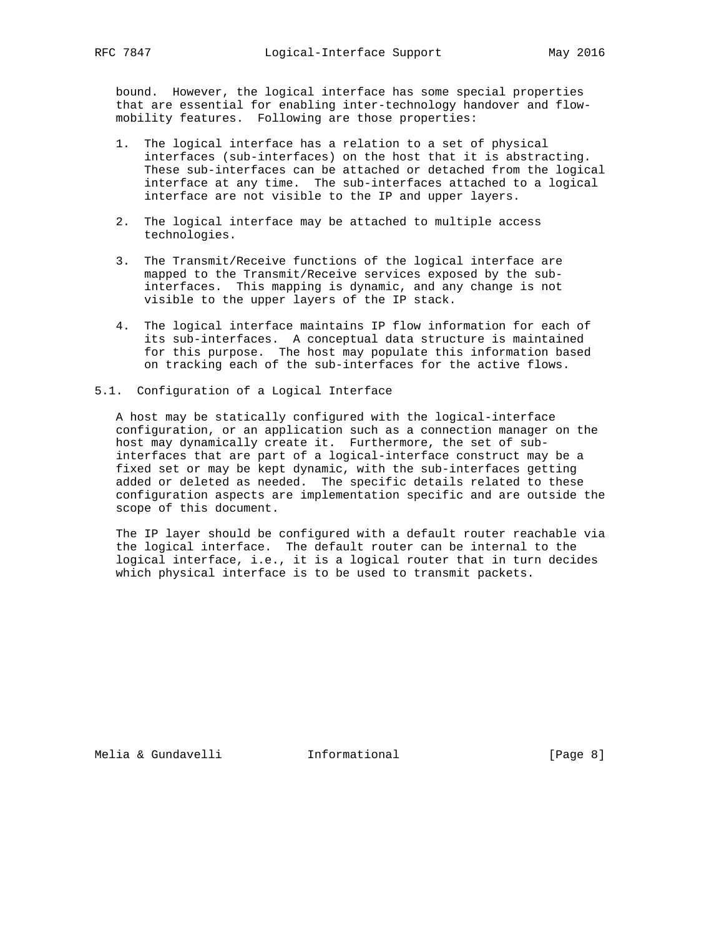bound. However, the logical interface has some special properties that are essential for enabling inter-technology handover and flow mobility features. Following are those properties:

- 1. The logical interface has a relation to a set of physical interfaces (sub-interfaces) on the host that it is abstracting. These sub-interfaces can be attached or detached from the logical interface at any time. The sub-interfaces attached to a logical interface are not visible to the IP and upper layers.
- 2. The logical interface may be attached to multiple access technologies.
- 3. The Transmit/Receive functions of the logical interface are mapped to the Transmit/Receive services exposed by the sub interfaces. This mapping is dynamic, and any change is not visible to the upper layers of the IP stack.
- 4. The logical interface maintains IP flow information for each of its sub-interfaces. A conceptual data structure is maintained for this purpose. The host may populate this information based on tracking each of the sub-interfaces for the active flows.
- 5.1. Configuration of a Logical Interface

 A host may be statically configured with the logical-interface configuration, or an application such as a connection manager on the host may dynamically create it. Furthermore, the set of sub interfaces that are part of a logical-interface construct may be a fixed set or may be kept dynamic, with the sub-interfaces getting added or deleted as needed. The specific details related to these configuration aspects are implementation specific and are outside the scope of this document.

 The IP layer should be configured with a default router reachable via the logical interface. The default router can be internal to the logical interface, i.e., it is a logical router that in turn decides which physical interface is to be used to transmit packets.

Melia & Gundavelli **Informational** [Page 8]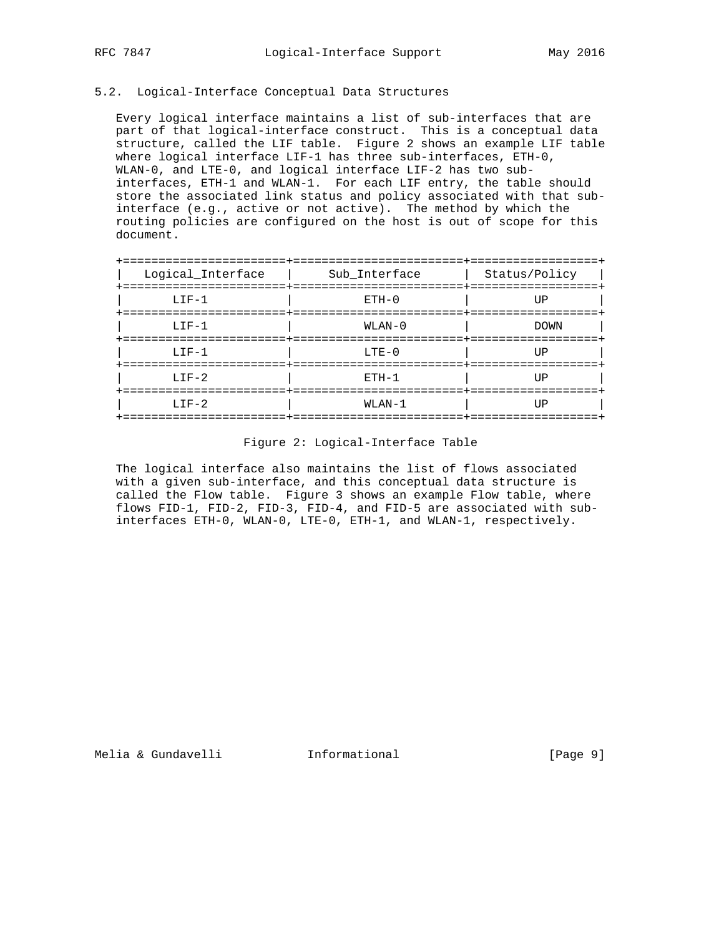### 5.2. Logical-Interface Conceptual Data Structures

 Every logical interface maintains a list of sub-interfaces that are part of that logical-interface construct. This is a conceptual data structure, called the LIF table. Figure 2 shows an example LIF table where logical interface LIF-1 has three sub-interfaces, ETH-0, WLAN-0, and LTE-0, and logical interface LIF-2 has two sub interfaces, ETH-1 and WLAN-1. For each LIF entry, the table should store the associated link status and policy associated with that sub interface (e.g., active or not active). The method by which the routing policies are configured on the host is out of scope for this document.

| Logical_Interface<br>--------------------- | Sub_Interface | Status/Policy<br>. = = = = = = = = = = = = = = = |
|--------------------------------------------|---------------|--------------------------------------------------|
| $LIF-1$                                    | $ETH-0$       | UР                                               |
| $LIF-1$                                    | $WLAN-0$      | <b>DOWN</b><br>===============                   |
| $LIF-1$                                    | $LTE-0$       | ΠP                                               |
| $T_{1}T_{2}-2$                             | $ETH-1$       | TTP                                              |
| $LIF-2$                                    | $WLAN-1$      | TTP                                              |

#### Figure 2: Logical-Interface Table

 The logical interface also maintains the list of flows associated with a given sub-interface, and this conceptual data structure is called the Flow table. Figure 3 shows an example Flow table, where flows FID-1, FID-2, FID-3, FID-4, and FID-5 are associated with sub interfaces ETH-0, WLAN-0, LTE-0, ETH-1, and WLAN-1, respectively.

Melia & Gundavelli Informational [Page 9]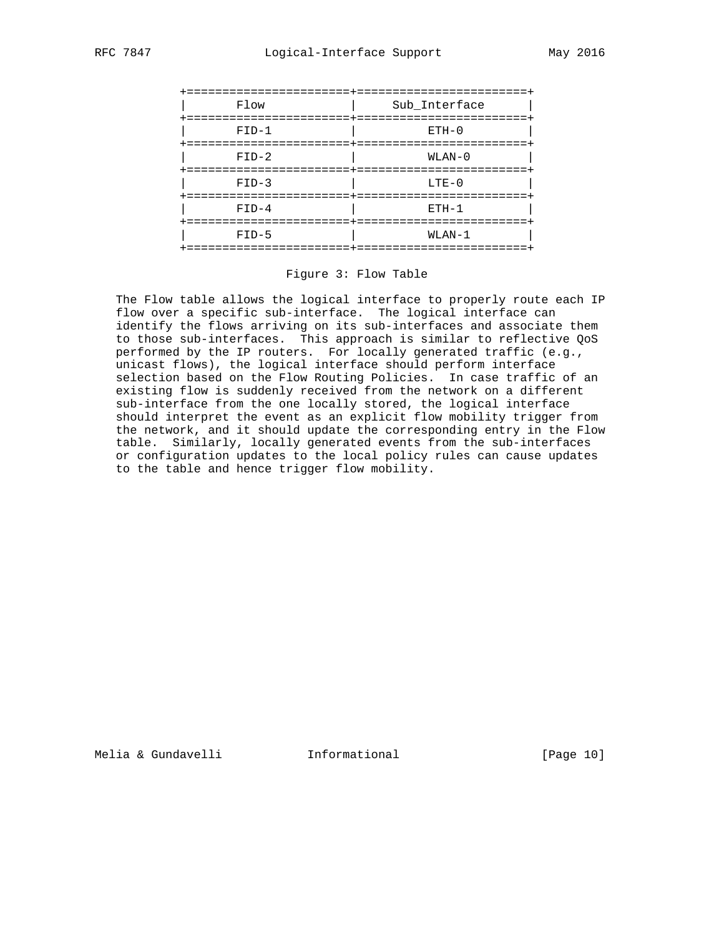

Figure 3: Flow Table

 The Flow table allows the logical interface to properly route each IP flow over a specific sub-interface. The logical interface can identify the flows arriving on its sub-interfaces and associate them to those sub-interfaces. This approach is similar to reflective QoS performed by the IP routers. For locally generated traffic (e.g., unicast flows), the logical interface should perform interface selection based on the Flow Routing Policies. In case traffic of an existing flow is suddenly received from the network on a different sub-interface from the one locally stored, the logical interface should interpret the event as an explicit flow mobility trigger from the network, and it should update the corresponding entry in the Flow table. Similarly, locally generated events from the sub-interfaces or configuration updates to the local policy rules can cause updates to the table and hence trigger flow mobility.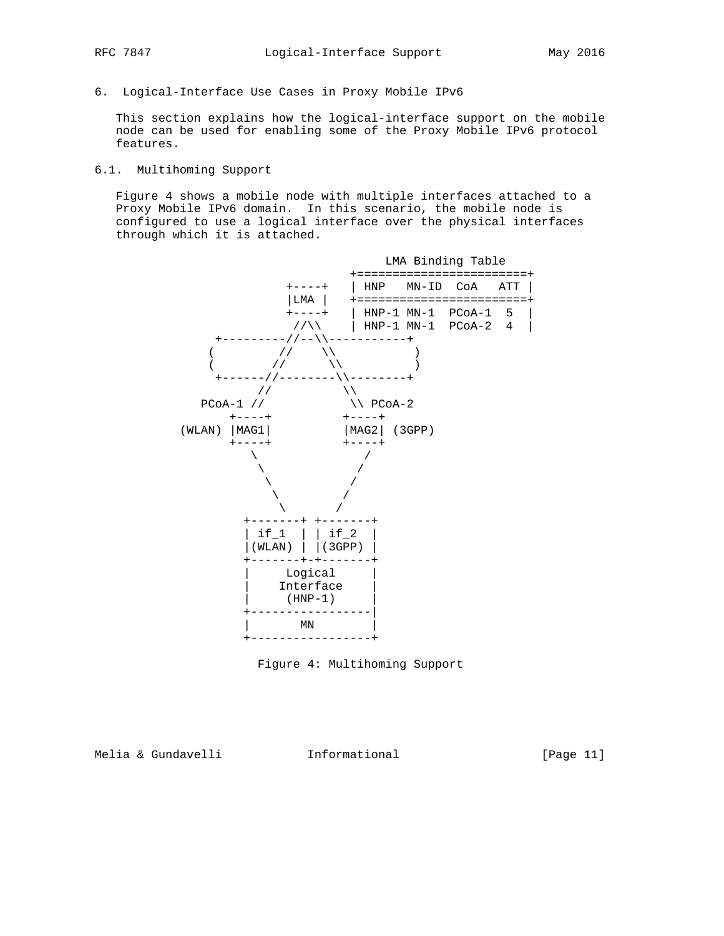6. Logical-Interface Use Cases in Proxy Mobile IPv6

 This section explains how the logical-interface support on the mobile node can be used for enabling some of the Proxy Mobile IPv6 protocol features.

# 6.1. Multihoming Support

 Figure 4 shows a mobile node with multiple interfaces attached to a Proxy Mobile IPv6 domain. In this scenario, the mobile node is configured to use a logical interface over the physical interfaces through which it is attached.



Figure 4: Multihoming Support

Melia & Gundavelli **Informational** [Page 11]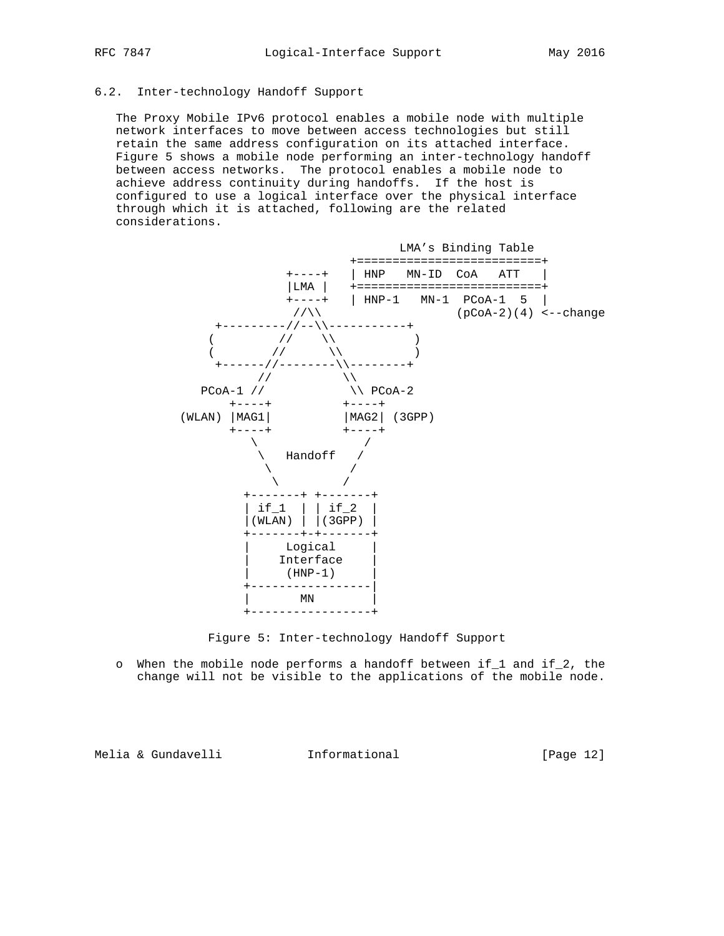## 6.2. Inter-technology Handoff Support

 The Proxy Mobile IPv6 protocol enables a mobile node with multiple network interfaces to move between access technologies but still retain the same address configuration on its attached interface. Figure 5 shows a mobile node performing an inter-technology handoff between access networks. The protocol enables a mobile node to achieve address continuity during handoffs. If the host is configured to use a logical interface over the physical interface through which it is attached, following are the related considerations.



Figure 5: Inter-technology Handoff Support

 o When the mobile node performs a handoff between if\_1 and if\_2, the change will not be visible to the applications of the mobile node.

Melia & Gundavelli Informational [Page 12]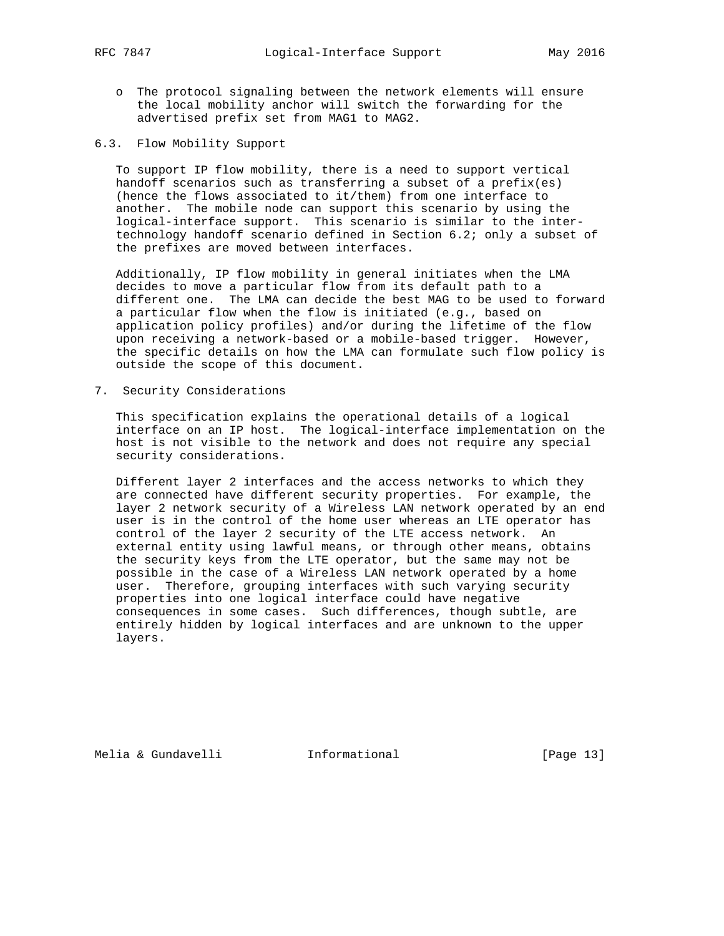- o The protocol signaling between the network elements will ensure the local mobility anchor will switch the forwarding for the advertised prefix set from MAG1 to MAG2.
- 6.3. Flow Mobility Support

 To support IP flow mobility, there is a need to support vertical handoff scenarios such as transferring a subset of a prefix(es) (hence the flows associated to it/them) from one interface to another. The mobile node can support this scenario by using the logical-interface support. This scenario is similar to the inter technology handoff scenario defined in Section 6.2; only a subset of the prefixes are moved between interfaces.

 Additionally, IP flow mobility in general initiates when the LMA decides to move a particular flow from its default path to a different one. The LMA can decide the best MAG to be used to forward a particular flow when the flow is initiated (e.g., based on application policy profiles) and/or during the lifetime of the flow upon receiving a network-based or a mobile-based trigger. However, the specific details on how the LMA can formulate such flow policy is outside the scope of this document.

7. Security Considerations

 This specification explains the operational details of a logical interface on an IP host. The logical-interface implementation on the host is not visible to the network and does not require any special security considerations.

 Different layer 2 interfaces and the access networks to which they are connected have different security properties. For example, the layer 2 network security of a Wireless LAN network operated by an end user is in the control of the home user whereas an LTE operator has control of the layer 2 security of the LTE access network. An external entity using lawful means, or through other means, obtains the security keys from the LTE operator, but the same may not be possible in the case of a Wireless LAN network operated by a home user. Therefore, grouping interfaces with such varying security properties into one logical interface could have negative consequences in some cases. Such differences, though subtle, are entirely hidden by logical interfaces and are unknown to the upper layers.

Melia & Gundavelli Informational [Page 13]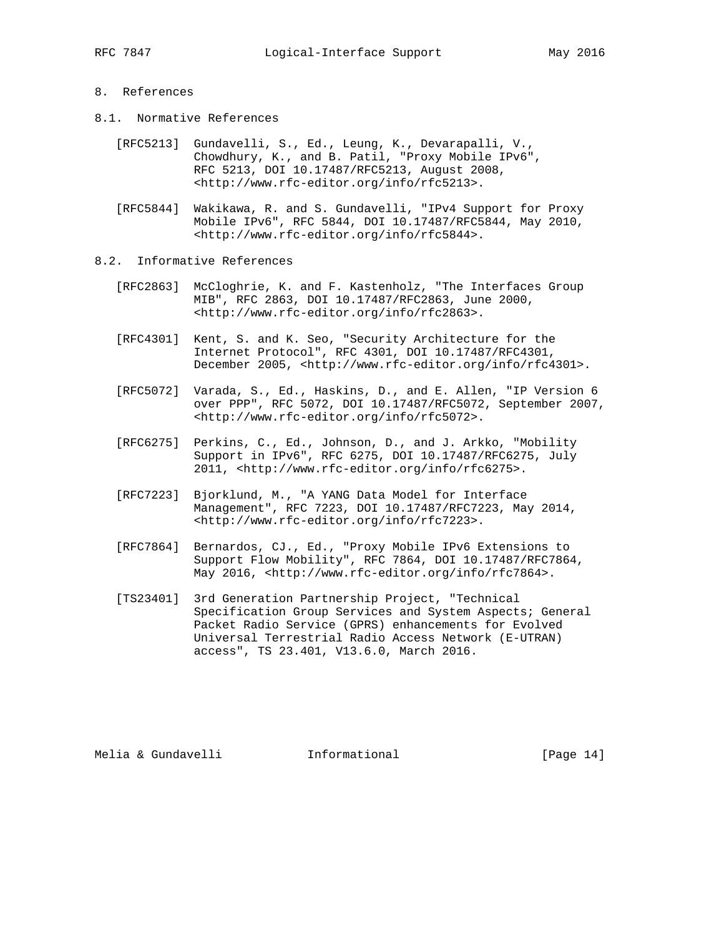## 8. References

- 8.1. Normative References
	- [RFC5213] Gundavelli, S., Ed., Leung, K., Devarapalli, V., Chowdhury, K., and B. Patil, "Proxy Mobile IPv6", RFC 5213, DOI 10.17487/RFC5213, August 2008, <http://www.rfc-editor.org/info/rfc5213>.
	- [RFC5844] Wakikawa, R. and S. Gundavelli, "IPv4 Support for Proxy Mobile IPv6", RFC 5844, DOI 10.17487/RFC5844, May 2010, <http://www.rfc-editor.org/info/rfc5844>.
- 8.2. Informative References
	- [RFC2863] McCloghrie, K. and F. Kastenholz, "The Interfaces Group MIB", RFC 2863, DOI 10.17487/RFC2863, June 2000, <http://www.rfc-editor.org/info/rfc2863>.
	- [RFC4301] Kent, S. and K. Seo, "Security Architecture for the Internet Protocol", RFC 4301, DOI 10.17487/RFC4301, December 2005, <http://www.rfc-editor.org/info/rfc4301>.
	- [RFC5072] Varada, S., Ed., Haskins, D., and E. Allen, "IP Version 6 over PPP", RFC 5072, DOI 10.17487/RFC5072, September 2007, <http://www.rfc-editor.org/info/rfc5072>.
	- [RFC6275] Perkins, C., Ed., Johnson, D., and J. Arkko, "Mobility Support in IPv6", RFC 6275, DOI 10.17487/RFC6275, July 2011, <http://www.rfc-editor.org/info/rfc6275>.
	- [RFC7223] Bjorklund, M., "A YANG Data Model for Interface Management", RFC 7223, DOI 10.17487/RFC7223, May 2014, <http://www.rfc-editor.org/info/rfc7223>.
	- [RFC7864] Bernardos, CJ., Ed., "Proxy Mobile IPv6 Extensions to Support Flow Mobility", RFC 7864, DOI 10.17487/RFC7864, May 2016, <http://www.rfc-editor.org/info/rfc7864>.
	- [TS23401] 3rd Generation Partnership Project, "Technical Specification Group Services and System Aspects; General Packet Radio Service (GPRS) enhancements for Evolved Universal Terrestrial Radio Access Network (E-UTRAN) access", TS 23.401, V13.6.0, March 2016.

Melia & Gundavelli **Informational** [Page 14]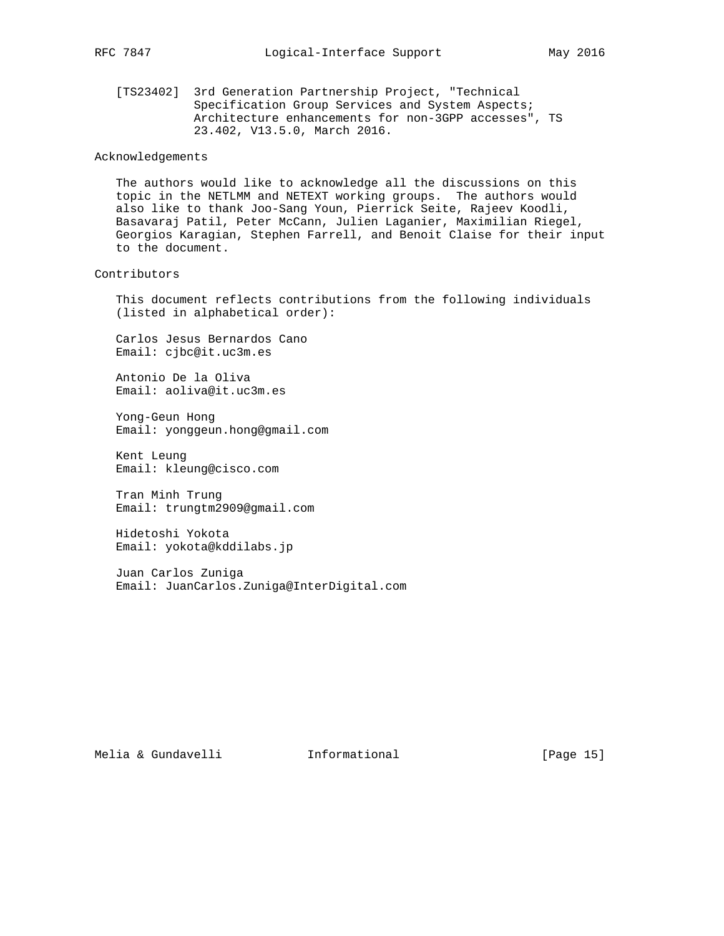[TS23402] 3rd Generation Partnership Project, "Technical Specification Group Services and System Aspects; Architecture enhancements for non-3GPP accesses", TS 23.402, V13.5.0, March 2016.

#### Acknowledgements

 The authors would like to acknowledge all the discussions on this topic in the NETLMM and NETEXT working groups. The authors would also like to thank Joo-Sang Youn, Pierrick Seite, Rajeev Koodli, Basavaraj Patil, Peter McCann, Julien Laganier, Maximilian Riegel, Georgios Karagian, Stephen Farrell, and Benoit Claise for their input to the document.

#### Contributors

 This document reflects contributions from the following individuals (listed in alphabetical order):

 Carlos Jesus Bernardos Cano Email: cjbc@it.uc3m.es

 Antonio De la Oliva Email: aoliva@it.uc3m.es

 Yong-Geun Hong Email: yonggeun.hong@gmail.com

 Kent Leung Email: kleung@cisco.com

 Tran Minh Trung Email: trungtm2909@gmail.com

 Hidetoshi Yokota Email: yokota@kddilabs.jp

 Juan Carlos Zuniga Email: JuanCarlos.Zuniga@InterDigital.com